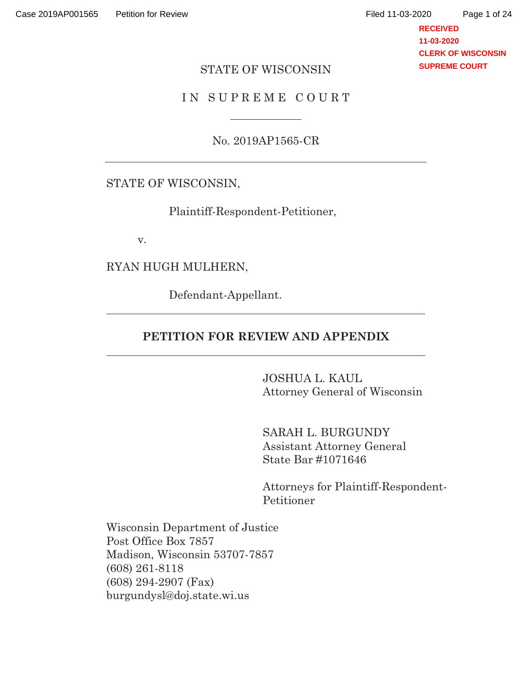**RECEIVED 11-03-2020 CLERK OF WISCONSIN SUPREME COURT**

#### STATE OF WISCONSIN

#### IN SUPREME COURT

No. 2019AP1565-CR

### STATE OF WISCONSIN,

Plaintiff-Respondent-Petitioner,

v.

 $\overline{a}$ 

 $\overline{a}$ 

RYAN HUGH MULHERN,

Defendant-Appellant.

#### **PETITION FOR REVIEW AND APPENDIX**

 JOSHUA L. KAUL Attorney General of Wisconsin

 SARAH L. BURGUNDY Assistant Attorney General State Bar #1071646

Attorneys for Plaintiff-Respondent-Petitioner

Wisconsin Department of Justice Post Office Box 7857 Madison, Wisconsin 53707-7857 (608) 261-8118 (608) 294-2907 (Fax) burgundysl@doj.state.wi.us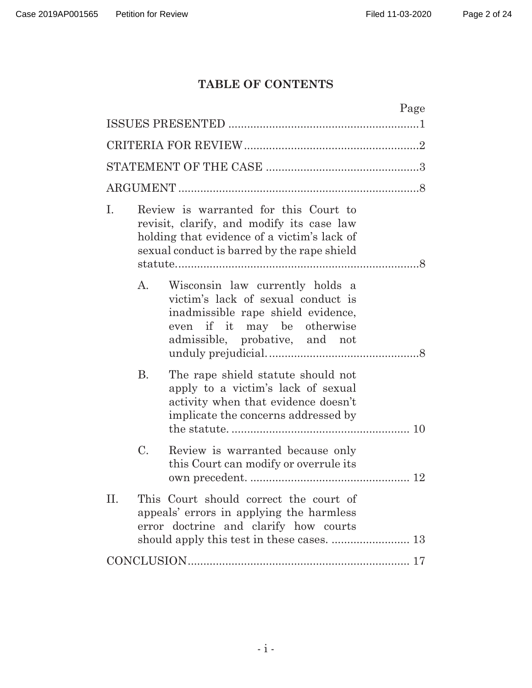# **TABLE OF CONTENTS**

| Page                                                                                                                                                                                   |  |
|----------------------------------------------------------------------------------------------------------------------------------------------------------------------------------------|--|
|                                                                                                                                                                                        |  |
|                                                                                                                                                                                        |  |
|                                                                                                                                                                                        |  |
|                                                                                                                                                                                        |  |
| Review is warranted for this Court to<br>Ι.<br>revisit, clarify, and modify its case law<br>holding that evidence of a victim's lack of<br>sexual conduct is barred by the rape shield |  |
| Wisconsin law currently holds a<br>A.<br>victim's lack of sexual conduct is<br>inadmissible rape shield evidence,<br>even if it may be otherwise<br>admissible, probative, and not     |  |
| <b>B.</b><br>The rape shield statute should not<br>apply to a victim's lack of sexual<br>activity when that evidence doesn't<br>implicate the concerns addressed by                    |  |
| $\mathcal{C}$ .<br>Review is warranted because only<br>this Court can modify or overrule its                                                                                           |  |
| This Court should correct the court of<br>П.<br>appeals' errors in applying the harmless<br>error doctrine and clarify how courts                                                      |  |
|                                                                                                                                                                                        |  |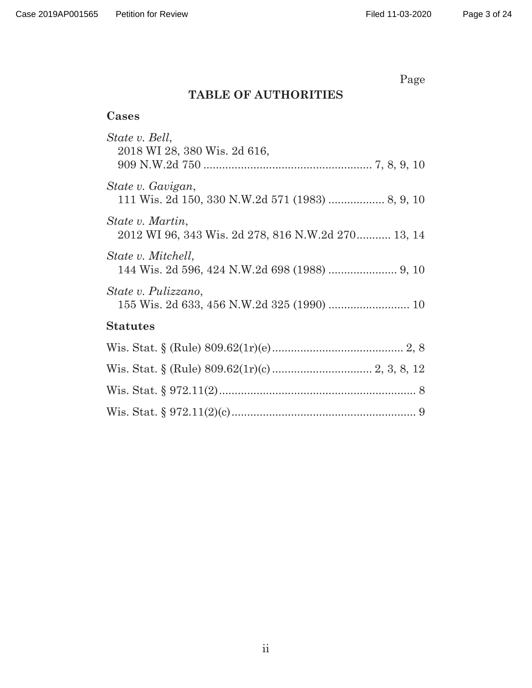Page

# **TABLE OF AUTHORITIES**

## **Cases**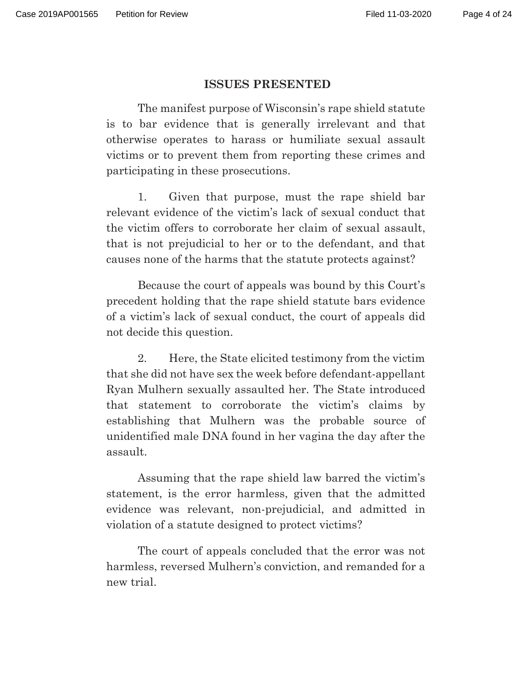#### **ISSUES PRESENTED**

 The manifest purpose of Wisconsin's rape shield statute is to bar evidence that is generally irrelevant and that otherwise operates to harass or humiliate sexual assault victims or to prevent them from reporting these crimes and participating in these prosecutions.

 1. Given that purpose, must the rape shield bar relevant evidence of the victim's lack of sexual conduct that the victim offers to corroborate her claim of sexual assault, that is not prejudicial to her or to the defendant, and that causes none of the harms that the statute protects against?

 Because the court of appeals was bound by this Court's precedent holding that the rape shield statute bars evidence of a victim's lack of sexual conduct, the court of appeals did not decide this question.

 2. Here, the State elicited testimony from the victim that she did not have sex the week before defendant-appellant Ryan Mulhern sexually assaulted her. The State introduced that statement to corroborate the victim's claims by establishing that Mulhern was the probable source of unidentified male DNA found in her vagina the day after the assault.

 Assuming that the rape shield law barred the victim's statement, is the error harmless, given that the admitted evidence was relevant, non-prejudicial, and admitted in violation of a statute designed to protect victims?

 The court of appeals concluded that the error was not harmless, reversed Mulhern's conviction, and remanded for a new trial.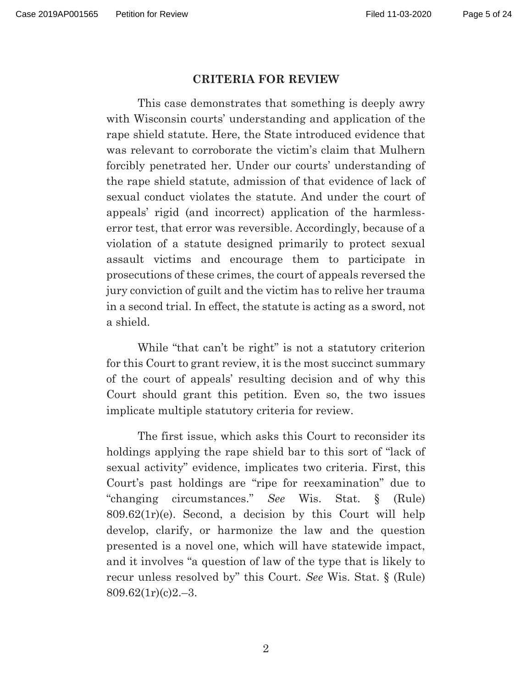#### **CRITERIA FOR REVIEW**

This case demonstrates that something is deeply awry with Wisconsin courts' understanding and application of the rape shield statute. Here, the State introduced evidence that was relevant to corroborate the victim's claim that Mulhern forcibly penetrated her. Under our courts' understanding of the rape shield statute, admission of that evidence of lack of sexual conduct violates the statute. And under the court of appeals' rigid (and incorrect) application of the harmlesserror test, that error was reversible. Accordingly, because of a violation of a statute designed primarily to protect sexual assault victims and encourage them to participate in prosecutions of these crimes, the court of appeals reversed the jury conviction of guilt and the victim has to relive her trauma in a second trial. In effect, the statute is acting as a sword, not a shield.

While "that can't be right" is not a statutory criterion for this Court to grant review, it is the most succinct summary of the court of appeals' resulting decision and of why this Court should grant this petition. Even so, the two issues implicate multiple statutory criteria for review.

The first issue, which asks this Court to reconsider its holdings applying the rape shield bar to this sort of "lack of sexual activity" evidence, implicates two criteria. First, this Court's past holdings are "ripe for reexamination" due to "changing circumstances." *See* Wis. Stat. § (Rule)  $809.62(1r)(e)$ . Second, a decision by this Court will help develop, clarify, or harmonize the law and the question presented is a novel one, which will have statewide impact, and it involves "a question of law of the type that is likely to recur unless resolved by" this Court. *See* Wis. Stat. § (Rule)  $809.62(1r)(c)2.-3.$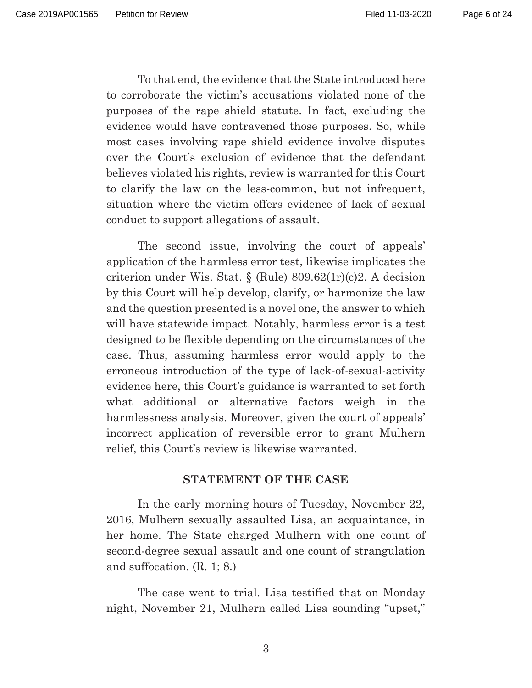To that end, the evidence that the State introduced here to corroborate the victim's accusations violated none of the purposes of the rape shield statute. In fact, excluding the evidence would have contravened those purposes. So, while most cases involving rape shield evidence involve disputes over the Court's exclusion of evidence that the defendant believes violated his rights, review is warranted for this Court to clarify the law on the less-common, but not infrequent, situation where the victim offers evidence of lack of sexual conduct to support allegations of assault.

The second issue, involving the court of appeals' application of the harmless error test, likewise implicates the criterion under Wis. Stat. § (Rule) 809.62(1r)(c)2. A decision by this Court will help develop, clarify, or harmonize the law and the question presented is a novel one, the answer to which will have statewide impact. Notably, harmless error is a test designed to be flexible depending on the circumstances of the case. Thus, assuming harmless error would apply to the erroneous introduction of the type of lack-of-sexual-activity evidence here, this Court's guidance is warranted to set forth what additional or alternative factors weigh in the harmlessness analysis. Moreover, given the court of appeals' incorrect application of reversible error to grant Mulhern relief, this Court's review is likewise warranted.

#### **STATEMENT OF THE CASE**

 In the early morning hours of Tuesday, November 22, 2016, Mulhern sexually assaulted Lisa, an acquaintance, in her home. The State charged Mulhern with one count of second-degree sexual assault and one count of strangulation and suffocation. (R. 1; 8.)

 The case went to trial. Lisa testified that on Monday night, November 21, Mulhern called Lisa sounding "upset,"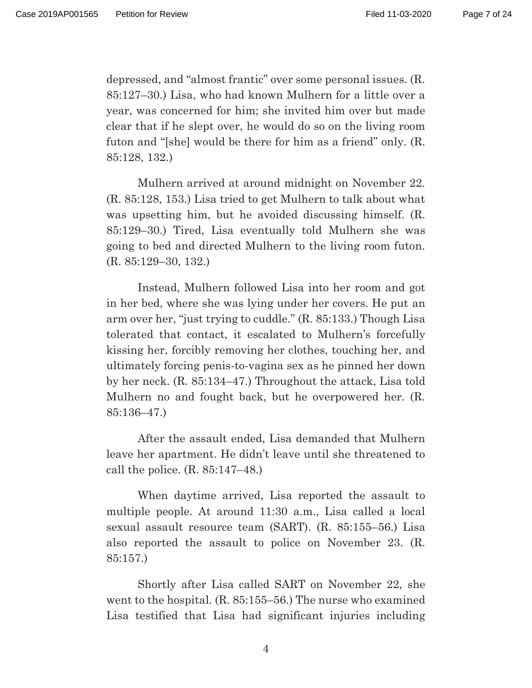depressed, and "almost frantic" over some personal issues. (R. 85:127–30.) Lisa, who had known Mulhern for a little over a year, was concerned for him; she invited him over but made clear that if he slept over, he would do so on the living room futon and "[she] would be there for him as a friend" only. (R. 85:128, 132.)

 Mulhern arrived at around midnight on November 22. (R. 85:128, 153.) Lisa tried to get Mulhern to talk about what was upsetting him, but he avoided discussing himself. (R. 85:129–30.) Tired, Lisa eventually told Mulhern she was going to bed and directed Mulhern to the living room futon. (R. 85:129–30, 132.)

 Instead, Mulhern followed Lisa into her room and got in her bed, where she was lying under her covers. He put an arm over her, "just trying to cuddle." (R. 85:133.) Though Lisa tolerated that contact, it escalated to Mulhern's forcefully kissing her, forcibly removing her clothes, touching her, and ultimately forcing penis-to-vagina sex as he pinned her down by her neck. (R. 85:134–47.) Throughout the attack, Lisa told Mulhern no and fought back, but he overpowered her. (R. 85:136–47.)

 After the assault ended, Lisa demanded that Mulhern leave her apartment. He didn't leave until she threatened to call the police. (R. 85:147–48.)

 When daytime arrived, Lisa reported the assault to multiple people. At around 11:30 a.m., Lisa called a local sexual assault resource team (SART). (R. 85:155–56.) Lisa also reported the assault to police on November 23. (R. 85:157.)

 Shortly after Lisa called SART on November 22, she went to the hospital. (R. 85:155–56.) The nurse who examined Lisa testified that Lisa had significant injuries including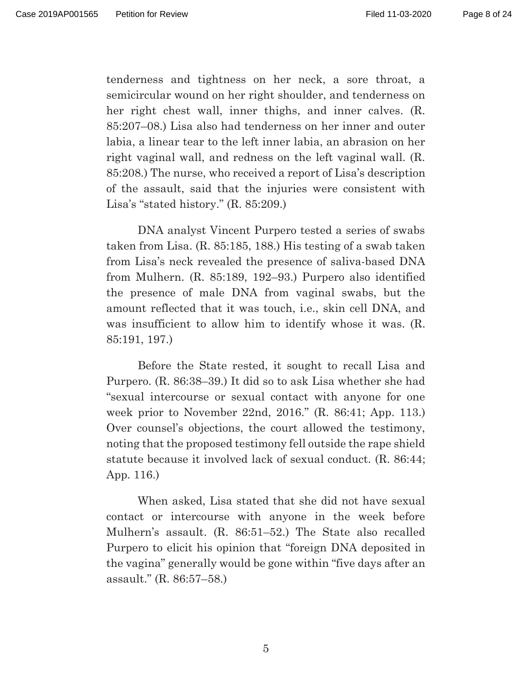tenderness and tightness on her neck, a sore throat, a semicircular wound on her right shoulder, and tenderness on her right chest wall, inner thighs, and inner calves. (R. 85:207–08.) Lisa also had tenderness on her inner and outer labia, a linear tear to the left inner labia, an abrasion on her right vaginal wall, and redness on the left vaginal wall. (R. 85:208.) The nurse, who received a report of Lisa's description of the assault, said that the injuries were consistent with Lisa's "stated history." (R. 85:209.)

 DNA analyst Vincent Purpero tested a series of swabs taken from Lisa. (R. 85:185, 188.) His testing of a swab taken from Lisa's neck revealed the presence of saliva-based DNA from Mulhern. (R. 85:189, 192–93.) Purpero also identified the presence of male DNA from vaginal swabs, but the amount reflected that it was touch, i.e., skin cell DNA, and was insufficient to allow him to identify whose it was. (R. 85:191, 197.)

 Before the State rested, it sought to recall Lisa and Purpero. (R. 86:38–39.) It did so to ask Lisa whether she had "sexual intercourse or sexual contact with anyone for one week prior to November 22nd, 2016." (R. 86:41; App. 113.) Over counsel's objections, the court allowed the testimony, noting that the proposed testimony fell outside the rape shield statute because it involved lack of sexual conduct. (R. 86:44; App. 116.)

 When asked, Lisa stated that she did not have sexual contact or intercourse with anyone in the week before Mulhern's assault. (R. 86:51–52.) The State also recalled Purpero to elicit his opinion that "foreign DNA deposited in the vagina" generally would be gone within "five days after an assault." (R. 86:57–58.)

5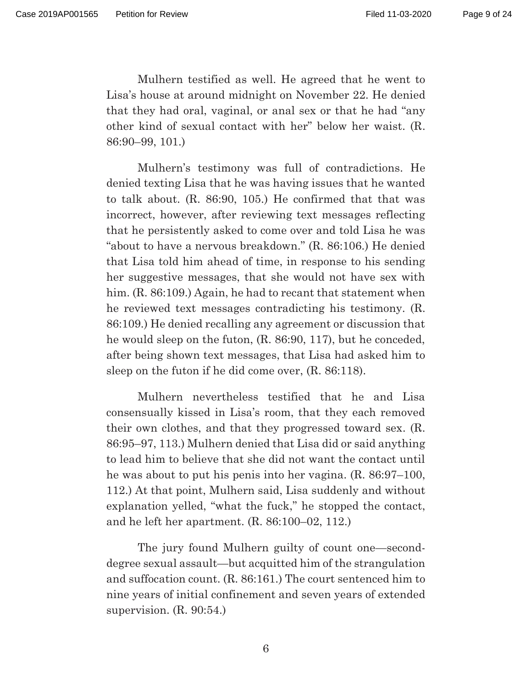Mulhern testified as well. He agreed that he went to Lisa's house at around midnight on November 22. He denied that they had oral, vaginal, or anal sex or that he had "any other kind of sexual contact with her" below her waist. (R. 86:90–99, 101.)

 Mulhern's testimony was full of contradictions. He denied texting Lisa that he was having issues that he wanted to talk about. (R. 86:90, 105.) He confirmed that that was incorrect, however, after reviewing text messages reflecting that he persistently asked to come over and told Lisa he was "about to have a nervous breakdown." (R. 86:106.) He denied that Lisa told him ahead of time, in response to his sending her suggestive messages, that she would not have sex with him. (R. 86:109.) Again, he had to recant that statement when he reviewed text messages contradicting his testimony. (R. 86:109.) He denied recalling any agreement or discussion that he would sleep on the futon, (R. 86:90, 117), but he conceded, after being shown text messages, that Lisa had asked him to sleep on the futon if he did come over, (R. 86:118).

 Mulhern nevertheless testified that he and Lisa consensually kissed in Lisa's room, that they each removed their own clothes, and that they progressed toward sex. (R. 86:95–97, 113.) Mulhern denied that Lisa did or said anything to lead him to believe that she did not want the contact until he was about to put his penis into her vagina. (R. 86:97–100, 112.) At that point, Mulhern said, Lisa suddenly and without explanation yelled, "what the fuck," he stopped the contact, and he left her apartment. (R. 86:100–02, 112.)

 The jury found Mulhern guilty of count one—seconddegree sexual assault—but acquitted him of the strangulation and suffocation count. (R. 86:161.) The court sentenced him to nine years of initial confinement and seven years of extended supervision. (R. 90:54.)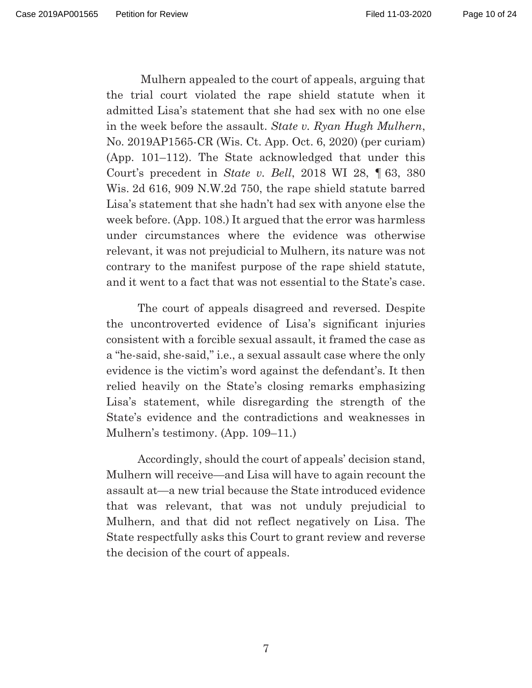Page 10 of 24

 Mulhern appealed to the court of appeals, arguing that the trial court violated the rape shield statute when it admitted Lisa's statement that she had sex with no one else in the week before the assault. *State v. Ryan Hugh Mulhern*, No. 2019AP1565-CR (Wis. Ct. App. Oct. 6, 2020) (per curiam) (App. 101–112). The State acknowledged that under this Court's precedent in *State v. Bell*, 2018 WI 28, ¶ 63, 380 Wis. 2d 616, 909 N.W.2d 750, the rape shield statute barred Lisa's statement that she hadn't had sex with anyone else the week before. (App. 108.) It argued that the error was harmless under circumstances where the evidence was otherwise relevant, it was not prejudicial to Mulhern, its nature was not contrary to the manifest purpose of the rape shield statute, and it went to a fact that was not essential to the State's case.

 The court of appeals disagreed and reversed. Despite the uncontroverted evidence of Lisa's significant injuries consistent with a forcible sexual assault, it framed the case as a "he-said, she-said," i.e., a sexual assault case where the only evidence is the victim's word against the defendant's. It then relied heavily on the State's closing remarks emphasizing Lisa's statement, while disregarding the strength of the State's evidence and the contradictions and weaknesses in Mulhern's testimony. (App. 109–11.)

 Accordingly, should the court of appeals' decision stand, Mulhern will receive—and Lisa will have to again recount the assault at—a new trial because the State introduced evidence that was relevant, that was not unduly prejudicial to Mulhern, and that did not reflect negatively on Lisa. The State respectfully asks this Court to grant review and reverse the decision of the court of appeals.

7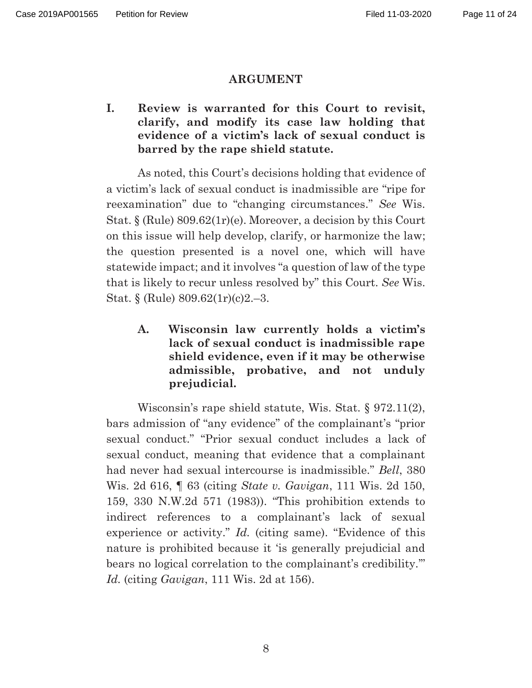#### **ARGUMENT**

**I. Review is warranted for this Court to revisit, clarify, and modify its case law holding that evidence of a victim's lack of sexual conduct is barred by the rape shield statute.** 

As noted, this Court's decisions holding that evidence of a victim's lack of sexual conduct is inadmissible are "ripe for reexamination" due to "changing circumstances." *See* Wis. Stat. § (Rule) 809.62(1r)(e). Moreover, a decision by this Court on this issue will help develop, clarify, or harmonize the law; the question presented is a novel one, which will have statewide impact; and it involves "a question of law of the type that is likely to recur unless resolved by" this Court. *See* Wis. Stat. § (Rule) 809.62(1r)(c)2.–3.

**A. Wisconsin law currently holds a victim's lack of sexual conduct is inadmissible rape shield evidence, even if it may be otherwise admissible, probative, and not unduly prejudicial.** 

Wisconsin's rape shield statute, Wis. Stat. § 972.11(2), bars admission of "any evidence" of the complainant's "prior sexual conduct." "Prior sexual conduct includes a lack of sexual conduct, meaning that evidence that a complainant had never had sexual intercourse is inadmissible." *Bell*, 380 Wis. 2d 616, ¶ 63 (citing *State v. Gavigan*, 111 Wis. 2d 150, 159, 330 N.W.2d 571 (1983)). "This prohibition extends to indirect references to a complainant's lack of sexual experience or activity." *Id.* (citing same). "Evidence of this nature is prohibited because it 'is generally prejudicial and bears no logical correlation to the complainant's credibility.'" *Id.* (citing *Gavigan*, 111 Wis. 2d at 156).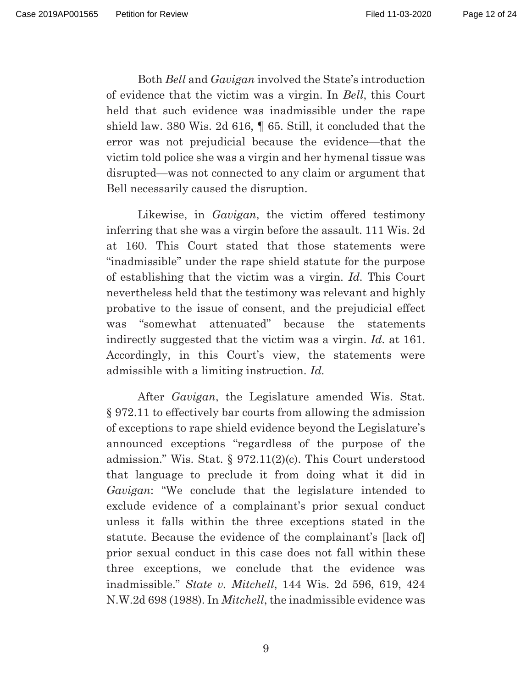Both *Bell* and *Gavigan* involved the State's introduction of evidence that the victim was a virgin. In *Bell*, this Court held that such evidence was inadmissible under the rape shield law. 380 Wis. 2d 616, ¶ 65. Still, it concluded that the error was not prejudicial because the evidence—that the victim told police she was a virgin and her hymenal tissue was disrupted—was not connected to any claim or argument that Bell necessarily caused the disruption.

Likewise, in *Gavigan*, the victim offered testimony inferring that she was a virgin before the assault. 111 Wis. 2d at 160. This Court stated that those statements were "inadmissible" under the rape shield statute for the purpose of establishing that the victim was a virgin. *Id.* This Court nevertheless held that the testimony was relevant and highly probative to the issue of consent, and the prejudicial effect was "somewhat attenuated" because the statements indirectly suggested that the victim was a virgin. *Id.* at 161. Accordingly, in this Court's view, the statements were admissible with a limiting instruction. *Id.* 

After *Gavigan*, the Legislature amended Wis. Stat. § 972.11 to effectively bar courts from allowing the admission of exceptions to rape shield evidence beyond the Legislature's announced exceptions "regardless of the purpose of the admission." Wis. Stat. § 972.11(2)(c). This Court understood that language to preclude it from doing what it did in *Gavigan*: "We conclude that the legislature intended to exclude evidence of a complainant's prior sexual conduct unless it falls within the three exceptions stated in the statute. Because the evidence of the complainant's [lack of] prior sexual conduct in this case does not fall within these three exceptions, we conclude that the evidence was inadmissible." *State v. Mitchell*, 144 Wis. 2d 596, 619, 424 N.W.2d 698 (1988). In *Mitchell*, the inadmissible evidence was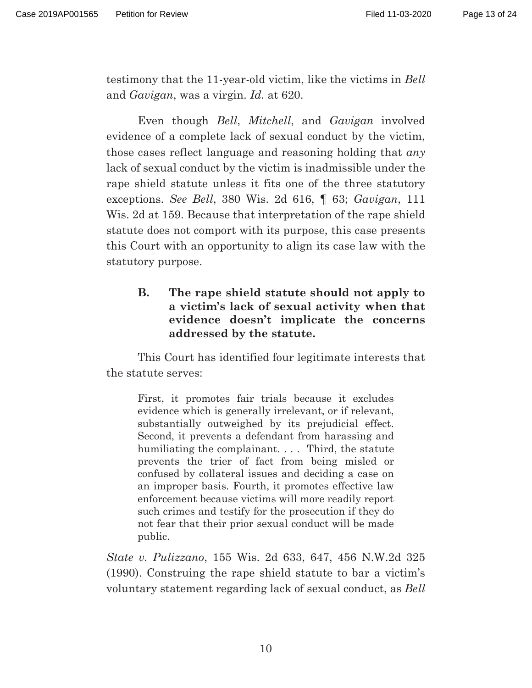testimony that the 11-year-old victim, like the victims in *Bell* and *Gavigan*, was a virgin. *Id.* at 620.

Even though *Bell*, *Mitchell*, and *Gavigan* involved evidence of a complete lack of sexual conduct by the victim, those cases reflect language and reasoning holding that *any* lack of sexual conduct by the victim is inadmissible under the rape shield statute unless it fits one of the three statutory exceptions. *See Bell*, 380 Wis. 2d 616, ¶ 63; *Gavigan*, 111 Wis. 2d at 159. Because that interpretation of the rape shield statute does not comport with its purpose, this case presents this Court with an opportunity to align its case law with the statutory purpose.

### **B. The rape shield statute should not apply to a victim's lack of sexual activity when that evidence doesn't implicate the concerns addressed by the statute.**

 This Court has identified four legitimate interests that the statute serves:

First, it promotes fair trials because it excludes evidence which is generally irrelevant, or if relevant, substantially outweighed by its prejudicial effect. Second, it prevents a defendant from harassing and humiliating the complainant. . . . Third, the statute prevents the trier of fact from being misled or confused by collateral issues and deciding a case on an improper basis. Fourth, it promotes effective law enforcement because victims will more readily report such crimes and testify for the prosecution if they do not fear that their prior sexual conduct will be made public.

*State v. Pulizzano*, 155 Wis. 2d 633, 647, 456 N.W.2d 325 (1990). Construing the rape shield statute to bar a victim's voluntary statement regarding lack of sexual conduct, as *Bell*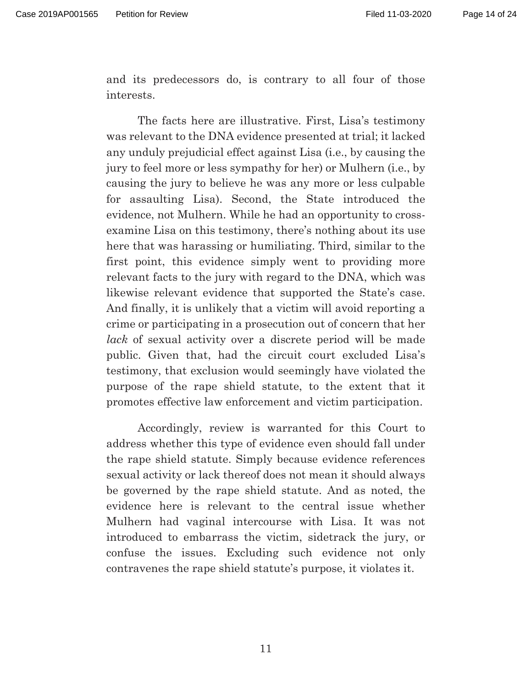and its predecessors do, is contrary to all four of those interests.

 The facts here are illustrative. First, Lisa's testimony was relevant to the DNA evidence presented at trial; it lacked any unduly prejudicial effect against Lisa (i.e., by causing the jury to feel more or less sympathy for her) or Mulhern (i.e., by causing the jury to believe he was any more or less culpable for assaulting Lisa). Second, the State introduced the evidence, not Mulhern. While he had an opportunity to crossexamine Lisa on this testimony, there's nothing about its use here that was harassing or humiliating. Third, similar to the first point, this evidence simply went to providing more relevant facts to the jury with regard to the DNA, which was likewise relevant evidence that supported the State's case. And finally, it is unlikely that a victim will avoid reporting a crime or participating in a prosecution out of concern that her *lack* of sexual activity over a discrete period will be made public. Given that, had the circuit court excluded Lisa's testimony, that exclusion would seemingly have violated the purpose of the rape shield statute, to the extent that it promotes effective law enforcement and victim participation.

 Accordingly, review is warranted for this Court to address whether this type of evidence even should fall under the rape shield statute. Simply because evidence references sexual activity or lack thereof does not mean it should always be governed by the rape shield statute. And as noted, the evidence here is relevant to the central issue whether Mulhern had vaginal intercourse with Lisa. It was not introduced to embarrass the victim, sidetrack the jury, or confuse the issues. Excluding such evidence not only contravenes the rape shield statute's purpose, it violates it.

11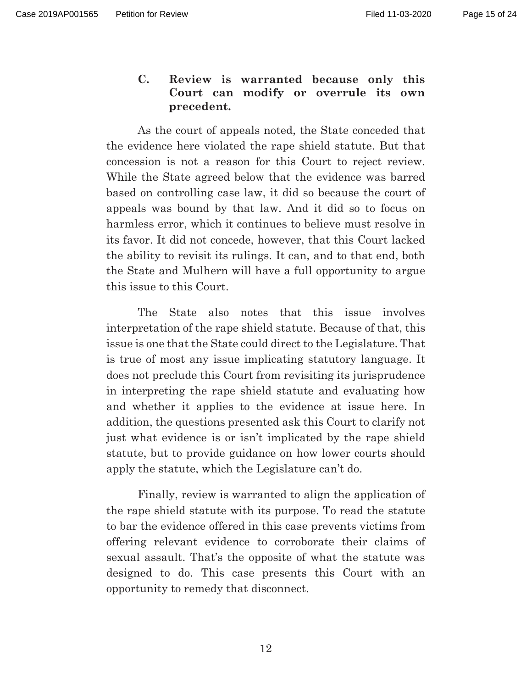### **C. Review is warranted because only this Court can modify or overrule its own precedent.**

 As the court of appeals noted, the State conceded that the evidence here violated the rape shield statute. But that concession is not a reason for this Court to reject review. While the State agreed below that the evidence was barred based on controlling case law, it did so because the court of appeals was bound by that law. And it did so to focus on harmless error, which it continues to believe must resolve in its favor. It did not concede, however, that this Court lacked the ability to revisit its rulings. It can, and to that end, both the State and Mulhern will have a full opportunity to argue this issue to this Court.

 The State also notes that this issue involves interpretation of the rape shield statute. Because of that, this issue is one that the State could direct to the Legislature. That is true of most any issue implicating statutory language. It does not preclude this Court from revisiting its jurisprudence in interpreting the rape shield statute and evaluating how and whether it applies to the evidence at issue here. In addition, the questions presented ask this Court to clarify not just what evidence is or isn't implicated by the rape shield statute, but to provide guidance on how lower courts should apply the statute, which the Legislature can't do.

 Finally, review is warranted to align the application of the rape shield statute with its purpose. To read the statute to bar the evidence offered in this case prevents victims from offering relevant evidence to corroborate their claims of sexual assault. That's the opposite of what the statute was designed to do. This case presents this Court with an opportunity to remedy that disconnect.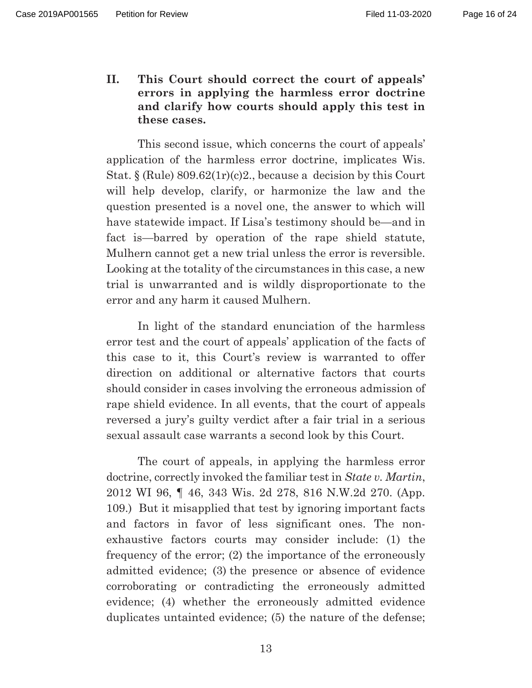**II. This Court should correct the court of appeals' errors in applying the harmless error doctrine and clarify how courts should apply this test in these cases.** 

This second issue, which concerns the court of appeals' application of the harmless error doctrine, implicates Wis. Stat.  $\S$  (Rule) 809.62(1r)(c)2., because a decision by this Court will help develop, clarify, or harmonize the law and the question presented is a novel one, the answer to which will have statewide impact. If Lisa's testimony should be—and in fact is—barred by operation of the rape shield statute, Mulhern cannot get a new trial unless the error is reversible. Looking at the totality of the circumstances in this case, a new trial is unwarranted and is wildly disproportionate to the error and any harm it caused Mulhern.

In light of the standard enunciation of the harmless error test and the court of appeals' application of the facts of this case to it, this Court's review is warranted to offer direction on additional or alternative factors that courts should consider in cases involving the erroneous admission of rape shield evidence. In all events, that the court of appeals reversed a jury's guilty verdict after a fair trial in a serious sexual assault case warrants a second look by this Court.

The court of appeals, in applying the harmless error doctrine, correctly invoked the familiar test in *State v. Martin*, 2012 WI 96, ¶ 46, 343 Wis. 2d 278, 816 N.W.2d 270. (App. 109.) But it misapplied that test by ignoring important facts and factors in favor of less significant ones. The nonexhaustive factors courts may consider include: (1) the frequency of the error; (2) the importance of the erroneously admitted evidence; (3) the presence or absence of evidence corroborating or contradicting the erroneously admitted evidence; (4) whether the erroneously admitted evidence duplicates untainted evidence; (5) the nature of the defense;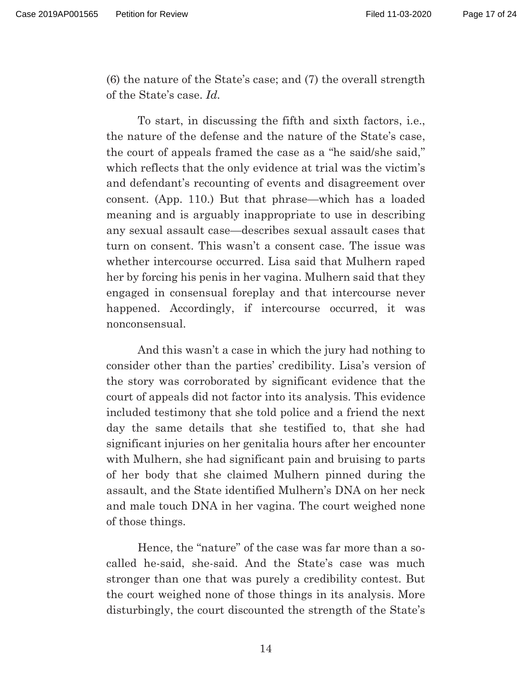(6) the nature of the State's case; and (7) the overall strength of the State's case. *Id.* 

 To start, in discussing the fifth and sixth factors, i.e., the nature of the defense and the nature of the State's case, the court of appeals framed the case as a "he said/she said," which reflects that the only evidence at trial was the victim's and defendant's recounting of events and disagreement over consent. (App. 110.) But that phrase—which has a loaded meaning and is arguably inappropriate to use in describing any sexual assault case—describes sexual assault cases that turn on consent. This wasn't a consent case. The issue was whether intercourse occurred. Lisa said that Mulhern raped her by forcing his penis in her vagina. Mulhern said that they engaged in consensual foreplay and that intercourse never happened. Accordingly, if intercourse occurred, it was nonconsensual.

And this wasn't a case in which the jury had nothing to consider other than the parties' credibility. Lisa's version of the story was corroborated by significant evidence that the court of appeals did not factor into its analysis. This evidence included testimony that she told police and a friend the next day the same details that she testified to, that she had significant injuries on her genitalia hours after her encounter with Mulhern, she had significant pain and bruising to parts of her body that she claimed Mulhern pinned during the assault, and the State identified Mulhern's DNA on her neck and male touch DNA in her vagina. The court weighed none of those things.

Hence, the "nature" of the case was far more than a socalled he-said, she-said. And the State's case was much stronger than one that was purely a credibility contest. But the court weighed none of those things in its analysis. More disturbingly, the court discounted the strength of the State's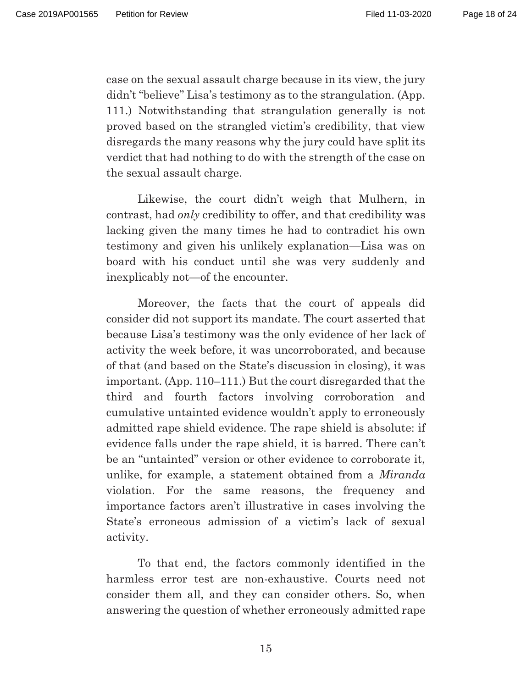case on the sexual assault charge because in its view, the jury didn't "believe" Lisa's testimony as to the strangulation. (App. 111.) Notwithstanding that strangulation generally is not proved based on the strangled victim's credibility, that view disregards the many reasons why the jury could have split its verdict that had nothing to do with the strength of the case on the sexual assault charge.

Likewise, the court didn't weigh that Mulhern, in contrast, had *only* credibility to offer, and that credibility was lacking given the many times he had to contradict his own testimony and given his unlikely explanation—Lisa was on board with his conduct until she was very suddenly and inexplicably not—of the encounter.

Moreover, the facts that the court of appeals did consider did not support its mandate. The court asserted that because Lisa's testimony was the only evidence of her lack of activity the week before, it was uncorroborated, and because of that (and based on the State's discussion in closing), it was important. (App. 110–111.) But the court disregarded that the third and fourth factors involving corroboration and cumulative untainted evidence wouldn't apply to erroneously admitted rape shield evidence. The rape shield is absolute: if evidence falls under the rape shield, it is barred. There can't be an "untainted" version or other evidence to corroborate it, unlike, for example, a statement obtained from a *Miranda* violation. For the same reasons, the frequency and importance factors aren't illustrative in cases involving the State's erroneous admission of a victim's lack of sexual activity.

To that end, the factors commonly identified in the harmless error test are non-exhaustive. Courts need not consider them all, and they can consider others. So, when answering the question of whether erroneously admitted rape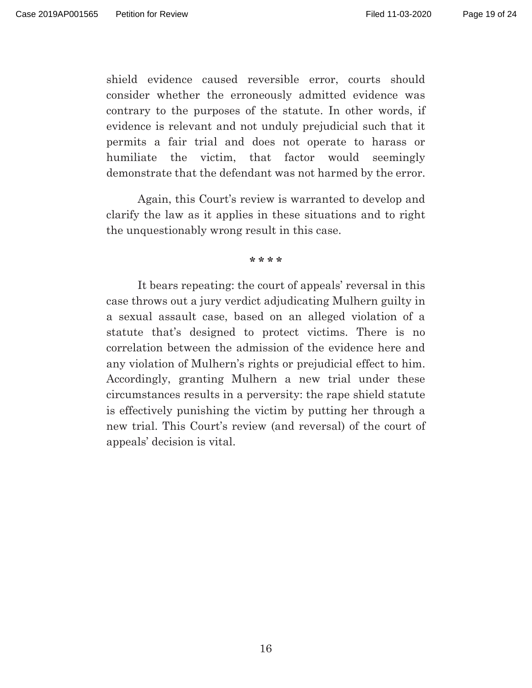shield evidence caused reversible error, courts should consider whether the erroneously admitted evidence was contrary to the purposes of the statute. In other words, if evidence is relevant and not unduly prejudicial such that it permits a fair trial and does not operate to harass or humiliate the victim, that factor would seemingly demonstrate that the defendant was not harmed by the error.

Again, this Court's review is warranted to develop and clarify the law as it applies in these situations and to right the unquestionably wrong result in this case.

#### **\* \* \* \***

 It bears repeating: the court of appeals' reversal in this case throws out a jury verdict adjudicating Mulhern guilty in a sexual assault case, based on an alleged violation of a statute that's designed to protect victims. There is no correlation between the admission of the evidence here and any violation of Mulhern's rights or prejudicial effect to him. Accordingly, granting Mulhern a new trial under these circumstances results in a perversity: the rape shield statute is effectively punishing the victim by putting her through a new trial. This Court's review (and reversal) of the court of appeals' decision is vital.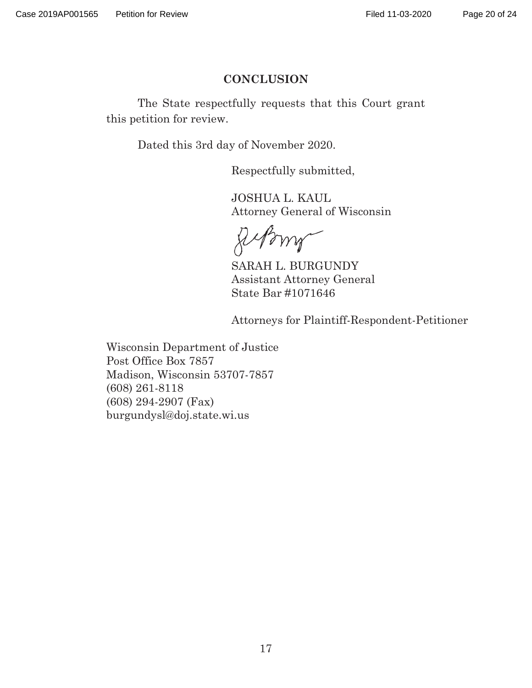### **CONCLUSION**

 The State respectfully requests that this Court grant this petition for review.

Dated this 3rd day of November 2020.

Respectfully submitted,

 JOSHUA L. KAUL Attorney General of Wisconsin

Memels

 SARAH L. BURGUNDY Assistant Attorney General State Bar #1071646

Attorneys for Plaintiff-Respondent-Petitioner

Wisconsin Department of Justice Post Office Box 7857 Madison, Wisconsin 53707-7857 (608) 261-8118 (608) 294-2907 (Fax) burgundysl@doj.state.wi.us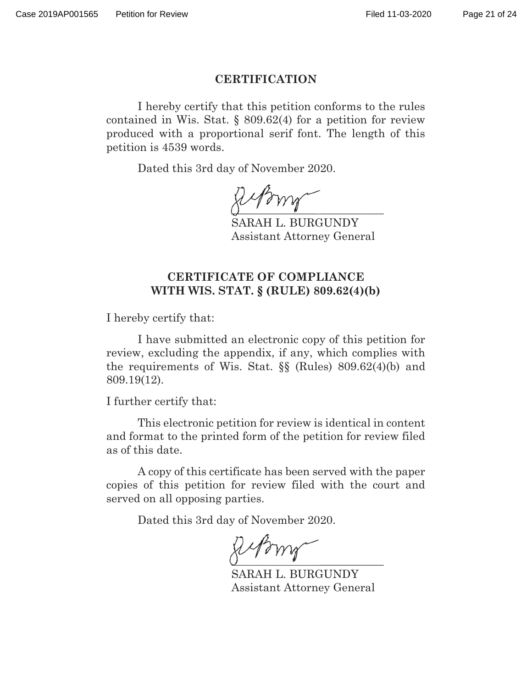#### **CERTIFICATION**

 I hereby certify that this petition conforms to the rules contained in Wis. Stat. § 809.62(4) for a petition for review produced with a proportional serif font. The length of this petition is 4539 words.

Dated this 3rd day of November 2020.

 $\bigcirc$   $\qquad$   $\qquad$   $\qquad$   $\qquad$   $\qquad$   $\qquad$   $\qquad$   $\qquad$   $\qquad$   $\qquad$   $\qquad$   $\qquad$   $\qquad$   $\qquad$   $\qquad$   $\qquad$   $\qquad$   $\qquad$   $\qquad$   $\qquad$   $\qquad$   $\qquad$   $\qquad$   $\qquad$   $\qquad$   $\qquad$   $\qquad$   $\qquad$   $\qquad$   $\qquad$   $\qquad$   $\qquad$   $\qquad$   $\qquad$   $\qquad$   $\qquad$  $\bigcirc$   $\qquad$ 

 SARAH L. BURGUNDY Assistant Attorney General

### **CERTIFICATE OF COMPLIANCE WITH WIS. STAT. § (RULE) 809.62(4)(b)**

I hereby certify that:

 I have submitted an electronic copy of this petition for review, excluding the appendix, if any, which complies with the requirements of Wis. Stat. §§ (Rules) 809.62(4)(b) and 809.19(12).

I further certify that:

 This electronic petition for review is identical in content and format to the printed form of the petition for review filed as of this date.

 A copy of this certificate has been served with the paper copies of this petition for review filed with the court and served on all opposing parties.

Dated this 3rd day of November 2020.

 $Q \longrightarrow M$  $\bigcup$   $\qquad$   $\qquad$ 

 SARAH L. BURGUNDY Assistant Attorney General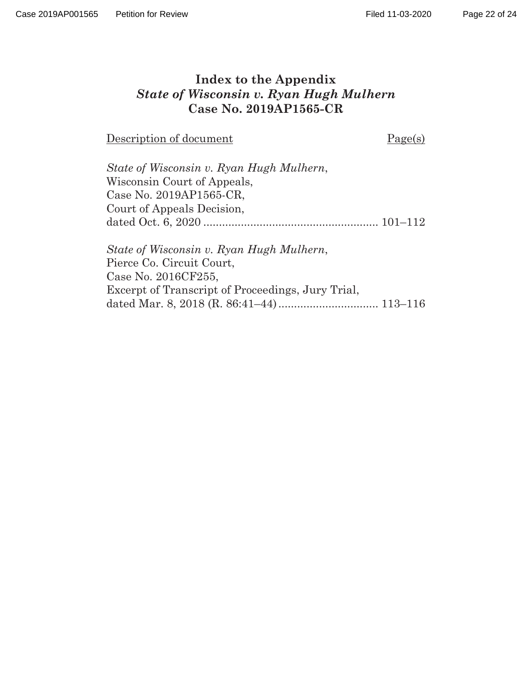### **Index to the Appendix**  *State of Wisconsin v. Ryan Hugh Mulhern*  **Case No. 2019AP1565-CR**

Description of document Page(s)

| State of Wisconsin v. Ryan Hugh Mulhern, |  |
|------------------------------------------|--|
| Wisconsin Court of Appeals,              |  |
| Case No. 2019AP1565-CR.                  |  |
| Court of Appeals Decision,               |  |
|                                          |  |
|                                          |  |

*State of Wisconsin v. Ryan Hugh Mulhern*, Pierce Co. Circuit Court, Case No. 2016CF255, Excerpt of Transcript of Proceedings, Jury Trial, dated Mar. 8, 2018 (R. 86:41–44) ................................ 113–116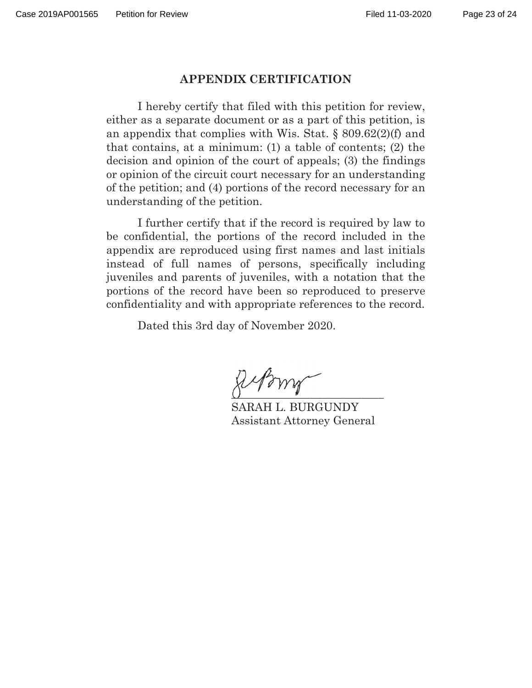#### **APPENDIX CERTIFICATION**

 I hereby certify that filed with this petition for review, either as a separate document or as a part of this petition, is an appendix that complies with Wis. Stat. § 809.62(2)(f) and that contains, at a minimum: (1) a table of contents; (2) the decision and opinion of the court of appeals; (3) the findings or opinion of the circuit court necessary for an understanding of the petition; and (4) portions of the record necessary for an understanding of the petition.

 I further certify that if the record is required by law to be confidential, the portions of the record included in the appendix are reproduced using first names and last initials instead of full names of persons, specifically including juveniles and parents of juveniles, with a notation that the portions of the record have been so reproduced to preserve confidentiality and with appropriate references to the record.

Dated this 3rd day of November 2020.

 $\overline{O}$  and the set of  $\overline{O}$  and  $\overline{O}$  and  $\overline{O}$  and  $\overline{O}$  and  $\overline{O}$  $\chi\varphi\gamma$ 

 SARAH L. BURGUNDY Assistant Attorney General